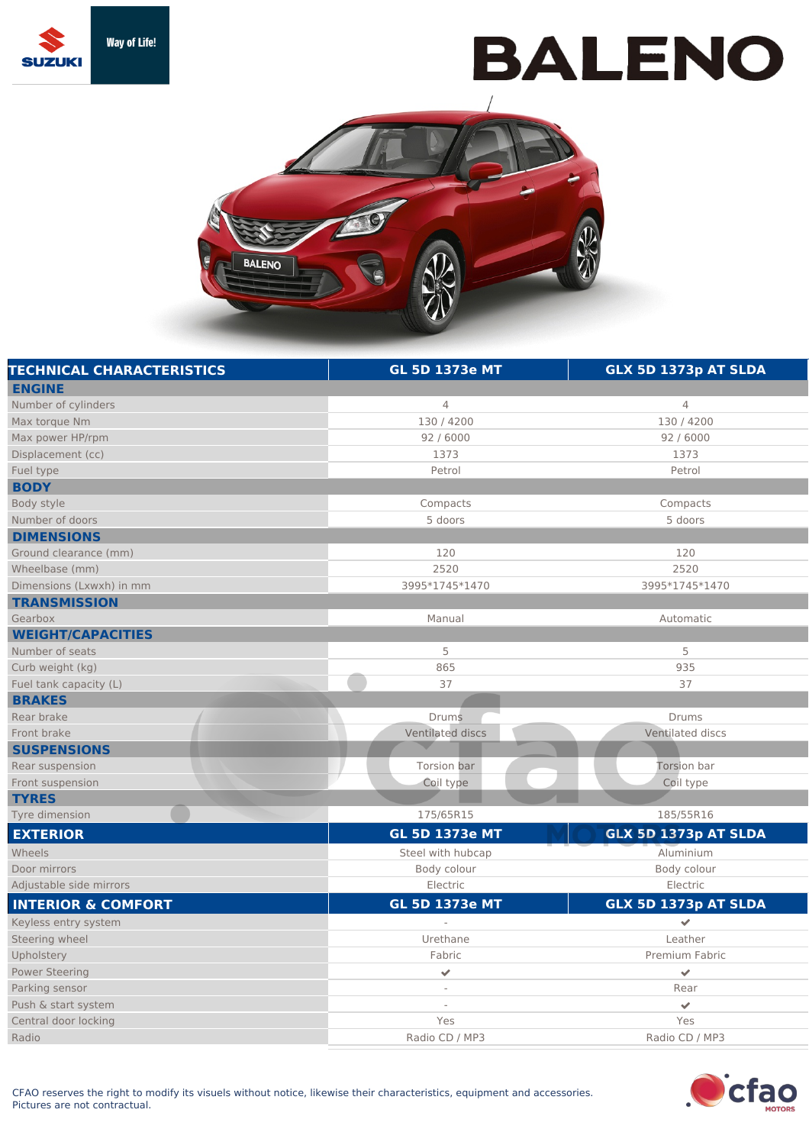

## **BALENO**



| <b>TECHNICAL CHARACTERISTICS</b> | <b>GL 5D 1373e MT</b>    | GLX 5D 1373p AT SLDA |
|----------------------------------|--------------------------|----------------------|
| <b>ENGINE</b>                    |                          |                      |
| Number of cylinders              | $\overline{4}$           | $\overline{4}$       |
| Max torque Nm                    | 130 / 4200               | 130 / 4200           |
| Max power HP/rpm                 | 92 / 6000                | 92 / 6000            |
| Displacement (cc)                | 1373                     | 1373                 |
| Fuel type                        | Petrol                   | Petrol               |
| <b>BODY</b>                      |                          |                      |
| Body style                       | Compacts                 | Compacts             |
| Number of doors                  | 5 doors                  | 5 doors              |
| <b>DIMENSIONS</b>                |                          |                      |
| Ground clearance (mm)            | 120                      | 120                  |
| Wheelbase (mm)                   | 2520                     | 2520                 |
| Dimensions (Lxwxh) in mm         | 3995*1745*1470           | 3995*1745*1470       |
| <b>TRANSMISSION</b>              |                          |                      |
| Gearbox                          | Manual                   | Automatic            |
| <b>WEIGHT/CAPACITIES</b>         |                          |                      |
| Number of seats                  | 5                        | 5                    |
| Curb weight (kg)                 | 865                      | 935                  |
| Fuel tank capacity (L)           | 37                       | 37                   |
| <b>BRAKES</b>                    |                          |                      |
| Rear brake                       | <b>Drums</b>             | Drums                |
| Front brake                      | Ventilated discs         | Ventilated discs     |
| <b>SUSPENSIONS</b>               |                          |                      |
| Rear suspension                  | Torsion bar              | Torsion bar          |
| Front suspension                 | Coil type                | Coil type            |
| <b>TYRES</b>                     |                          |                      |
| Tyre dimension                   | 175/65R15                | 185/55R16            |
| <b>EXTERIOR</b>                  | <b>GL 5D 1373e MT</b>    | GLX 5D 1373p AT SLDA |
| Wheels                           | Steel with hubcap        | Aluminium            |
| Door mirrors                     | Body colour              | Body colour          |
| Adjustable side mirrors          | Electric                 | Electric             |
| <b>INTERIOR &amp; COMFORT</b>    | <b>GL 5D 1373e MT</b>    | GLX 5D 1373p AT SLDA |
| Keyless entry system             | $\overline{\phantom{a}}$ | $\checkmark$         |
| Steering wheel                   | Urethane                 | Leather              |
| Upholstery                       | Fabric                   | Premium Fabric       |
| <b>Power Steering</b>            | $\checkmark$             | $\checkmark$         |
| Parking sensor                   |                          | Rear                 |
| Push & start system              | $\overline{\phantom{a}}$ | $\checkmark$         |
| Central door locking             | Yes                      | Yes                  |
| Radio                            | Radio CD / MP3           | Radio CD / MP3       |